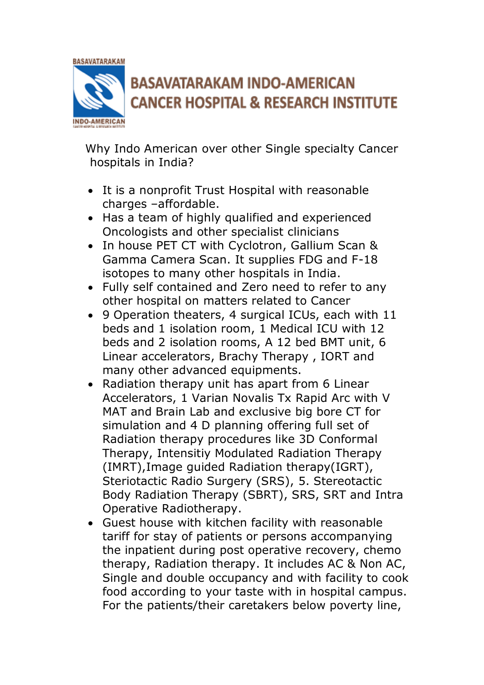

Why Indo American over other Single specialty Cancer hospitals in India?

- It is a nonprofit Trust Hospital with reasonable charges –affordable.
- Has a team of highly qualified and experienced Oncologists and other specialist clinicians
- In house PET CT with Cyclotron, Gallium Scan & Gamma Camera Scan. It supplies FDG and F-18 isotopes to many other hospitals in India.
- Fully self contained and Zero need to refer to any other hospital on matters related to Cancer
- 9 Operation theaters, 4 surgical ICUs, each with 11 beds and 1 isolation room, 1 Medical ICU with 12 beds and 2 isolation rooms, A 12 bed BMT unit, 6 Linear accelerators, Brachy Therapy , IORT and many other advanced equipments.
- Radiation therapy unit has apart from 6 Linear Accelerators, 1 Varian Novalis Tx Rapid Arc with V MAT and Brain Lab and exclusive big bore CT for simulation and 4 D planning offering full set of Radiation therapy procedures like 3D Conformal Therapy, Intensitiy Modulated Radiation Therapy (IMRT),Image guided Radiation therapy(IGRT), Steriotactic Radio Surgery (SRS), 5. Stereotactic Body Radiation Therapy (SBRT), SRS, SRT and Intra Operative Radiotherapy.
- Guest house with kitchen facility with reasonable tariff for stay of patients or persons accompanying the inpatient during post operative recovery, chemo therapy, Radiation therapy. It includes AC & Non AC, Single and double occupancy and with facility to cook food according to your taste with in hospital campus. For the patients/their caretakers below poverty line,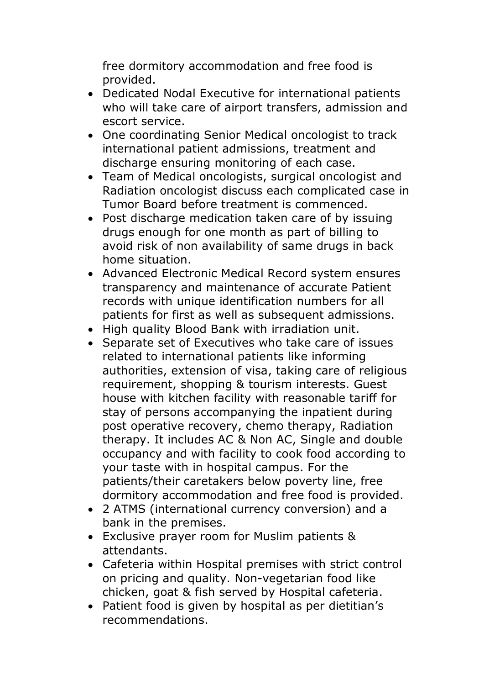free dormitory accommodation and free food is provided.

- Dedicated Nodal Executive for international patients who will take care of airport transfers, admission and escort service.
- One coordinating Senior Medical oncologist to track international patient admissions, treatment and discharge ensuring monitoring of each case.
- Team of Medical oncologists, surgical oncologist and Radiation oncologist discuss each complicated case in Tumor Board before treatment is commenced.
- Post discharge medication taken care of by issuing drugs enough for one month as part of billing to avoid risk of non availability of same drugs in back home situation.
- Advanced Electronic Medical Record system ensures transparency and maintenance of accurate Patient records with unique identification numbers for all patients for first as well as subsequent admissions.
- High quality Blood Bank with irradiation unit.
- Separate set of Executives who take care of issues related to international patients like informing authorities, extension of visa, taking care of religious requirement, shopping & tourism interests. Guest house with kitchen facility with reasonable tariff for stay of persons accompanying the inpatient during post operative recovery, chemo therapy, Radiation therapy. It includes AC & Non AC, Single and double occupancy and with facility to cook food according to your taste with in hospital campus. For the patients/their caretakers below poverty line, free dormitory accommodation and free food is provided.
- 2 ATMS (international currency conversion) and a bank in the premises.
- Exclusive prayer room for Muslim patients & attendants.
- Cafeteria within Hospital premises with strict control on pricing and quality. Non-vegetarian food like chicken, goat & fish served by Hospital cafeteria.
- Patient food is given by hospital as per dietitian's recommendations.